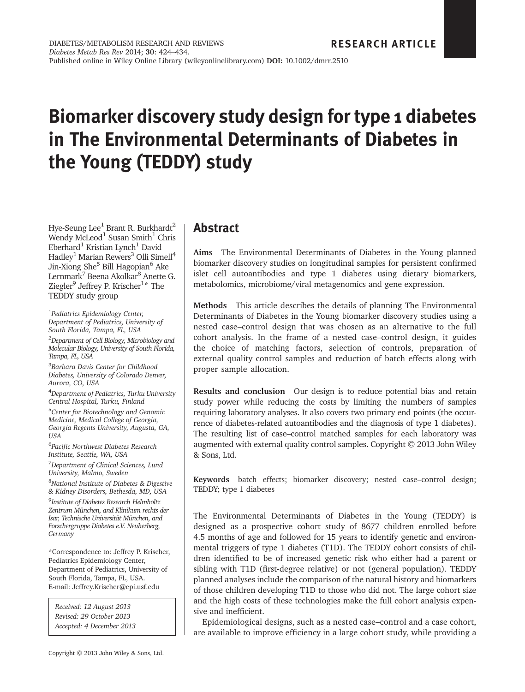# Biomarker discovery study design for type 1 diabetes in The Environmental Determinants of Diabetes in the Young (TEDDY) study

Hye-Seung Lee<sup>1</sup> Brant R. Burkhardt<sup>2</sup> Wendy McLeod<sup>1</sup> Susan Smith<sup>1</sup> Chris  $Eberhard<sup>1</sup>$  Kristian Lynch<sup>1</sup> David Hadley<sup>1</sup> Marian Rewers<sup>3</sup> Olli Simell<sup>4</sup> Jin-Xiong She<sup>5</sup> Bill Hagopian<sup>6</sup> Ake Lernmark<sup>7</sup> Beena Akolkar<sup>8</sup> Anette G. Ziegler<sup>9</sup> Jeffrey P. Krischer<sup>1\*</sup> The TEDDY study group

<sup>1</sup>Pediatrics Epidemiology Center, Department of Pediatrics, University of South Florida, Tampa, FL, USA

<sup>2</sup>Department of Cell Biology, Microbiology and Molecular Biology, University of South Florida, Tampa, FL, USA

<sup>3</sup>Barbara Davis Center for Childhood Diabetes, University of Colorado Denver, Aurora, CO, USA

4 Department of Pediatrics, Turku University Central Hospital, Turku, Finland

<sup>5</sup>Center for Biotechnology and Genomic Medicine, Medical College of Georgia, Georgia Regents University, Augusta, GA, USA

<sup>6</sup>Pacific Northwest Diabetes Research Institute, Seattle, WA, USA

<sup>7</sup>Department of Clinical Sciences, Lund University, Malmo, Sweden

<sup>8</sup>National Institute of Diabetes & Digestive & Kidney Disorders, Bethesda, MD, USA

<sup>9</sup>Institute of Diabetes Research Helmholtz Zentrum München, and Klinikum rechts der Isar, Technische Universität München, and Forschergruppe Diabetes e.V. Neuherberg, Germany

\*Correspondence to: Jeffrey P. Krischer, Pediatrics Epidemiology Center, Department of Pediatrics, University of South Florida, Tampa, FL, USA. E-mail: Jeffrey.Krischer@epi.usf.edu

Received: 12 August 2013 Revised: 29 October 2013 Accepted: 4 December 2013

### Abstract

Aims The Environmental Determinants of Diabetes in the Young planned biomarker discovery studies on longitudinal samples for persistent confirmed islet cell autoantibodies and type 1 diabetes using dietary biomarkers, metabolomics, microbiome/viral metagenomics and gene expression.

Methods This article describes the details of planning The Environmental Determinants of Diabetes in the Young biomarker discovery studies using a nested case–control design that was chosen as an alternative to the full cohort analysis. In the frame of a nested case–control design, it guides the choice of matching factors, selection of controls, preparation of external quality control samples and reduction of batch effects along with proper sample allocation.

Results and conclusion Our design is to reduce potential bias and retain study power while reducing the costs by limiting the numbers of samples requiring laboratory analyses. It also covers two primary end points (the occurrence of diabetes-related autoantibodies and the diagnosis of type 1 diabetes). The resulting list of case–control matched samples for each laboratory was augmented with external quality control samples. Copyright © 2013 John Wiley & Sons, Ltd.

Keywords batch effects; biomarker discovery; nested case–control design; TEDDY; type 1 diabetes

The Environmental Determinants of Diabetes in the Young (TEDDY) is designed as a prospective cohort study of 8677 children enrolled before 4.5 months of age and followed for 15 years to identify genetic and environmental triggers of type 1 diabetes (T1D). The TEDDY cohort consists of children identified to be of increased genetic risk who either had a parent or sibling with T1D (first-degree relative) or not (general population). TEDDY planned analyses include the comparison of the natural history and biomarkers of those children developing T1D to those who did not. The large cohort size and the high costs of these technologies make the full cohort analysis expensive and inefficient.

Epidemiological designs, such as a nested case–control and a case cohort, are available to improve efficiency in a large cohort study, while providing a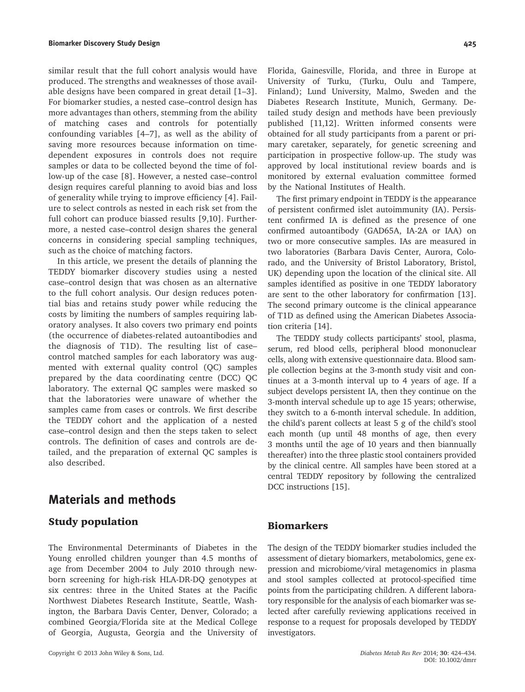similar result that the full cohort analysis would have produced. The strengths and weaknesses of those available designs have been compared in great detail [1–3]. For biomarker studies, a nested case–control design has more advantages than others, stemming from the ability of matching cases and controls for potentially confounding variables [4–7], as well as the ability of saving more resources because information on timedependent exposures in controls does not require samples or data to be collected beyond the time of follow-up of the case [8]. However, a nested case–control design requires careful planning to avoid bias and loss of generality while trying to improve efficiency [4]. Failure to select controls as nested in each risk set from the full cohort can produce biassed results [9,10]. Furthermore, a nested case–control design shares the general concerns in considering special sampling techniques, such as the choice of matching factors.

In this article, we present the details of planning the TEDDY biomarker discovery studies using a nested case–control design that was chosen as an alternative to the full cohort analysis. Our design reduces potential bias and retains study power while reducing the costs by limiting the numbers of samples requiring laboratory analyses. It also covers two primary end points (the occurrence of diabetes-related autoantibodies and the diagnosis of T1D). The resulting list of case– control matched samples for each laboratory was augmented with external quality control (QC) samples prepared by the data coordinating centre (DCC) QC laboratory. The external QC samples were masked so that the laboratories were unaware of whether the samples came from cases or controls. We first describe the TEDDY cohort and the application of a nested case–control design and then the steps taken to select controls. The definition of cases and controls are detailed, and the preparation of external QC samples is also described.

## Materials and methods

### Study population

The Environmental Determinants of Diabetes in the Young enrolled children younger than 4.5 months of age from December 2004 to July 2010 through newborn screening for high-risk HLA-DR-DQ genotypes at six centres: three in the United States at the Pacific Northwest Diabetes Research Institute, Seattle, Washington, the Barbara Davis Center, Denver, Colorado; a combined Georgia/Florida site at the Medical College of Georgia, Augusta, Georgia and the University of Florida, Gainesville, Florida, and three in Europe at University of Turku, (Turku, Oulu and Tampere, Finland); Lund University, Malmo, Sweden and the Diabetes Research Institute, Munich, Germany. Detailed study design and methods have been previously published [11,12]. Written informed consents were obtained for all study participants from a parent or primary caretaker, separately, for genetic screening and participation in prospective follow-up. The study was approved by local institutional review boards and is monitored by external evaluation committee formed by the National Institutes of Health.

The first primary endpoint in TEDDY is the appearance of persistent confirmed islet autoimmunity (IA). Persistent confirmed IA is defined as the presence of one confirmed autoantibody (GAD65A, IA-2A or IAA) on two or more consecutive samples. IAs are measured in two laboratories (Barbara Davis Center, Aurora, Colorado, and the University of Bristol Laboratory, Bristol, UK) depending upon the location of the clinical site. All samples identified as positive in one TEDDY laboratory are sent to the other laboratory for confirmation [13]. The second primary outcome is the clinical appearance of T1D as defined using the American Diabetes Association criteria [14].

The TEDDY study collects participants' stool, plasma, serum, red blood cells, peripheral blood mononuclear cells, along with extensive questionnaire data. Blood sample collection begins at the 3-month study visit and continues at a 3-month interval up to 4 years of age. If a subject develops persistent IA, then they continue on the 3-month interval schedule up to age 15 years; otherwise, they switch to a 6-month interval schedule. In addition, the child's parent collects at least 5 g of the child's stool each month (up until 48 months of age, then every 3 months until the age of 10 years and then biannually thereafter) into the three plastic stool containers provided by the clinical centre. All samples have been stored at a central TEDDY repository by following the centralized DCC instructions [15].

#### Biomarkers

The design of the TEDDY biomarker studies included the assessment of dietary biomarkers, metabolomics, gene expression and microbiome/viral metagenomics in plasma and stool samples collected at protocol-specified time points from the participating children. A different laboratory responsible for the analysis of each biomarker was selected after carefully reviewing applications received in response to a request for proposals developed by TEDDY investigators.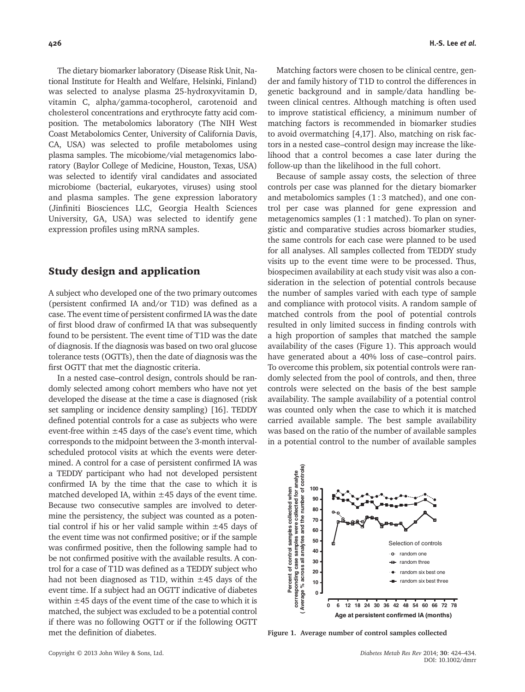The dietary biomarker laboratory (Disease Risk Unit, National Institute for Health and Welfare, Helsinki, Finland) was selected to analyse plasma 25-hydroxyvitamin D, vitamin C, alpha/gamma-tocopherol, carotenoid and cholesterol concentrations and erythrocyte fatty acid composition. The metabolomics laboratory (The NIH West Coast Metabolomics Center, University of California Davis, CA, USA) was selected to profile metabolomes using plasma samples. The micobiome/vial metagenomics laboratory (Baylor College of Medicine, Houston, Texas, USA) was selected to identify viral candidates and associated microbiome (bacterial, eukaryotes, viruses) using stool and plasma samples. The gene expression laboratory (Jinfiniti Biosciences LLC, Georgia Health Sciences University, GA, USA) was selected to identify gene expression profiles using mRNA samples.

#### Study design and application

A subject who developed one of the two primary outcomes (persistent confirmed IA and/or T1D) was defined as a case. The event time of persistent confirmed IA was the date of first blood draw of confirmed IA that was subsequently found to be persistent. The event time of T1D was the date of diagnosis. If the diagnosis was based on two oral glucose tolerance tests (OGTTs), then the date of diagnosis was the first OGTT that met the diagnostic criteria.

In a nested case–control design, controls should be randomly selected among cohort members who have not yet developed the disease at the time a case is diagnosed (risk set sampling or incidence density sampling) [16]. TEDDY defined potential controls for a case as subjects who were event-free within  $\pm$ 45 days of the case's event time, which corresponds to the midpoint between the 3-month intervalscheduled protocol visits at which the events were determined. A control for a case of persistent confirmed IA was a TEDDY participant who had not developed persistent confirmed IA by the time that the case to which it is matched developed IA, within  $\pm$ 45 days of the event time. Because two consecutive samples are involved to determine the persistency, the subject was counted as a potential control if his or her valid sample within  $\pm$ 45 days of the event time was not confirmed positive; or if the sample was confirmed positive, then the following sample had to be not confirmed positive with the available results. A control for a case of T1D was defined as a TEDDY subject who had not been diagnosed as T1D, within  $\pm$ 45 days of the event time. If a subject had an OGTT indicative of diabetes within  $\pm$ 45 days of the event time of the case to which it is matched, the subject was excluded to be a potential control if there was no following OGTT or if the following OGTT met the definition of diabetes.

Matching factors were chosen to be clinical centre, gender and family history of T1D to control the differences in genetic background and in sample/data handling between clinical centres. Although matching is often used to improve statistical efficiency, a minimum number of matching factors is recommended in biomarker studies to avoid overmatching [4,17]. Also, matching on risk factors in a nested case–control design may increase the likelihood that a control becomes a case later during the follow-up than the likelihood in the full cohort.

Because of sample assay costs, the selection of three controls per case was planned for the dietary biomarker and metabolomics samples (1 : 3 matched), and one control per case was planned for gene expression and metagenomics samples  $(1:1$  matched). To plan on synergistic and comparative studies across biomarker studies, the same controls for each case were planned to be used for all analyses. All samples collected from TEDDY study visits up to the event time were to be processed. Thus, biospecimen availability at each study visit was also a consideration in the selection of potential controls because the number of samples varied with each type of sample and compliance with protocol visits. A random sample of matched controls from the pool of potential controls resulted in only limited success in finding controls with a high proportion of samples that matched the sample availability of the cases (Figure 1). This approach would have generated about a 40% loss of case–control pairs. To overcome this problem, six potential controls were randomly selected from the pool of controls, and then, three controls were selected on the basis of the best sample availability. The sample availability of a potential control was counted only when the case to which it is matched carried available sample. The best sample availability was based on the ratio of the number of available samples in a potential control to the number of available samples



Figure 1. Average number of control samples collected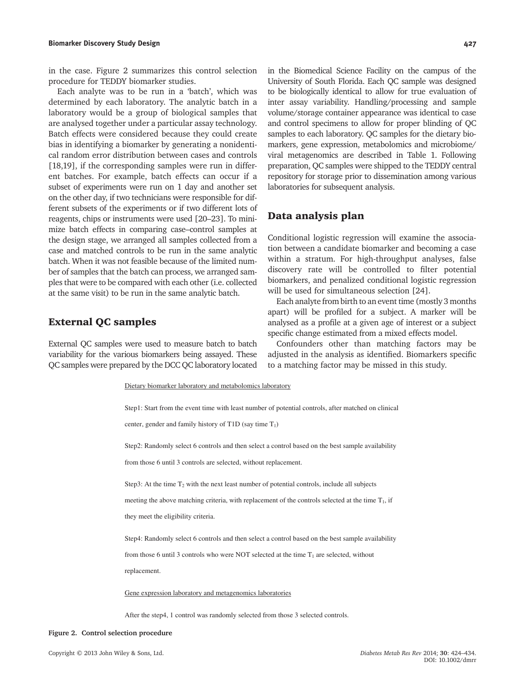in the case. Figure 2 summarizes this control selection procedure for TEDDY biomarker studies.

Each analyte was to be run in a 'batch', which was determined by each laboratory. The analytic batch in a laboratory would be a group of biological samples that are analysed together under a particular assay technology. Batch effects were considered because they could create bias in identifying a biomarker by generating a nonidentical random error distribution between cases and controls [18,19], if the corresponding samples were run in different batches. For example, batch effects can occur if a subset of experiments were run on 1 day and another set on the other day, if two technicians were responsible for different subsets of the experiments or if two different lots of reagents, chips or instruments were used [20–23]. To minimize batch effects in comparing case–control samples at the design stage, we arranged all samples collected from a case and matched controls to be run in the same analytic batch. When it was not feasible because of the limited number of samples that the batch can process, we arranged samples that were to be compared with each other (i.e. collected at the same visit) to be run in the same analytic batch.

#### External QC samples

External QC samples were used to measure batch to batch variability for the various biomarkers being assayed. These QC samples were prepared by the DCC QC laboratory located

to be biologically identical to allow for true evaluation of inter assay variability. Handling/processing and sample volume/storage container appearance was identical to case and control specimens to allow for proper blinding of QC samples to each laboratory. QC samples for the dietary biomarkers, gene expression, metabolomics and microbiome/ viral metagenomics are described in Table 1. Following preparation, QC samples were shipped to the TEDDY central repository for storage prior to dissemination among various laboratories for subsequent analysis.

in the Biomedical Science Facility on the campus of the University of South Florida. Each QC sample was designed

### Data analysis plan

Conditional logistic regression will examine the association between a candidate biomarker and becoming a case within a stratum. For high-throughput analyses, false discovery rate will be controlled to filter potential biomarkers, and penalized conditional logistic regression will be used for simultaneous selection [24].

Each analyte from birth to an event time (mostly 3 months apart) will be profiled for a subject. A marker will be analysed as a profile at a given age of interest or a subject specific change estimated from a mixed effects model.

Confounders other than matching factors may be adjusted in the analysis as identified. Biomarkers specific to a matching factor may be missed in this study.

Dietary biomarker laboratory and metabolomics laboratory

Step1: Start from the event time with least number of potential controls, after matched on clinical center, gender and family history of  $T1D$  (say time  $T_1$ ) Step2: Randomly select 6 controls and then select a control based on the best sample availability from those 6 until 3 controls are selected, without replacement. Step3: At the time  $T_2$  with the next least number of potential controls, include all subjects meeting the above matching criteria, with replacement of the controls selected at the time  $T_1$ , if they meet the eligibility criteria. Step4: Randomly select 6 controls and then select a control based on the best sample availability from those 6 until 3 controls who were NOT selected at the time  $T_1$  are selected, without replacement. Gene expression laboratory and metagenomics laboratories After the step4, 1 control was randomly selected from those 3 selected controls.

#### Figure 2. Control selection procedure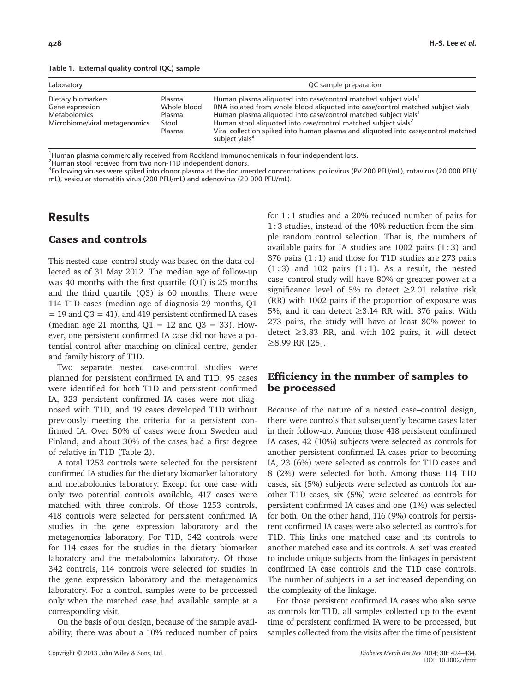|  |  | Table 1. External quality control (QC) sample |  |  |
|--|--|-----------------------------------------------|--|--|
|--|--|-----------------------------------------------|--|--|

| Laboratory                                                                                    |                                                    | QC sample preparation                                                                                                                                                                                                                                                                                                                                                                                                                          |
|-----------------------------------------------------------------------------------------------|----------------------------------------------------|------------------------------------------------------------------------------------------------------------------------------------------------------------------------------------------------------------------------------------------------------------------------------------------------------------------------------------------------------------------------------------------------------------------------------------------------|
| Dietary biomarkers<br>Gene expression<br><b>Metabolomics</b><br>Microbiome/viral metagenomics | Plasma<br>Whole blood<br>Plasma<br>Stool<br>Plasma | Human plasma aliquoted into case/control matched subject vials <sup>1</sup><br>RNA isolated from whole blood aliquoted into case/control matched subject vials<br>Human plasma aliquoted into case/control matched subject vials <sup>1</sup><br>Human stool aliquoted into case/control matched subject vials <sup>2</sup><br>Viral collection spiked into human plasma and aliguoted into case/control matched<br>subject vials <sup>3</sup> |

<sup>1</sup>Human plasma commercially received from Rockland Immunochemicals in four independent lots.

<sup>2</sup>Human stool received from two non-T1D independent donors.

<sup>3</sup>Following viruses were spiked into donor plasma at the documented concentrations: poliovirus (PV 200 PFU/mL), rotavirus (20 000 PFU/ mL), vesicular stomatitis virus (200 PFU/mL) and adenovirus (20 000 PFU/mL).

# Results

### Cases and controls

This nested case–control study was based on the data collected as of 31 May 2012. The median age of follow-up was 40 months with the first quartile (Q1) is 25 months and the third quartile (Q3) is 60 months. There were 114 T1D cases (median age of diagnosis 29 months, Q1 = 19 and Q3 = 41), and 419 persistent confirmed IA cases (median age 21 months,  $Q1 = 12$  and  $Q3 = 33$ ). However, one persistent confirmed IA case did not have a potential control after matching on clinical centre, gender and family history of T1D.

Two separate nested case-control studies were planned for persistent confirmed IA and T1D; 95 cases were identified for both T1D and persistent confirmed IA, 323 persistent confirmed IA cases were not diagnosed with T1D, and 19 cases developed T1D without previously meeting the criteria for a persistent confirmed IA. Over 50% of cases were from Sweden and Finland, and about 30% of the cases had a first degree of relative in T1D (Table 2).

A total 1253 controls were selected for the persistent confirmed IA studies for the dietary biomarker laboratory and metabolomics laboratory. Except for one case with only two potential controls available, 417 cases were matched with three controls. Of those 1253 controls, 418 controls were selected for persistent confirmed IA studies in the gene expression laboratory and the metagenomics laboratory. For T1D, 342 controls were for 114 cases for the studies in the dietary biomarker laboratory and the metabolomics laboratory. Of those 342 controls, 114 controls were selected for studies in the gene expression laboratory and the metagenomics laboratory. For a control, samples were to be processed only when the matched case had available sample at a corresponding visit.

On the basis of our design, because of the sample availability, there was about a 10% reduced number of pairs for 1 : 1 studies and a 20% reduced number of pairs for 1 : 3 studies, instead of the 40% reduction from the simple random control selection. That is, the numbers of available pairs for IA studies are  $1002$  pairs  $(1:3)$  and 376 pairs  $(1:1)$  and those for T1D studies are 273 pairs  $(1:3)$  and 102 pairs  $(1:1)$ . As a result, the nested case–control study will have 80% or greater power at a significance level of 5% to detect  $\geq 2.01$  relative risk (RR) with 1002 pairs if the proportion of exposure was 5%, and it can detect ≥3.14 RR with 376 pairs. With 273 pairs, the study will have at least 80% power to detect ≥3.83 RR, and with 102 pairs, it will detect ≥8.99 RR [25].

### Efficiency in the number of samples to be processed

Because of the nature of a nested case–control design, there were controls that subsequently became cases later in their follow-up. Among those 418 persistent confirmed IA cases, 42 (10%) subjects were selected as controls for another persistent confirmed IA cases prior to becoming IA, 23 (6%) were selected as controls for T1D cases and 8 (2%) were selected for both. Among those 114 T1D cases, six (5%) subjects were selected as controls for another T1D cases, six (5%) were selected as controls for persistent confirmed IA cases and one (1%) was selected for both. On the other hand, 116 (9%) controls for persistent confirmed IA cases were also selected as controls for T1D. This links one matched case and its controls to another matched case and its controls. A 'set' was created to include unique subjects from the linkages in persistent confirmed IA case controls and the T1D case controls. The number of subjects in a set increased depending on the complexity of the linkage.

For those persistent confirmed IA cases who also serve as controls for T1D, all samples collected up to the event time of persistent confirmed IA were to be processed, but samples collected from the visits after the time of persistent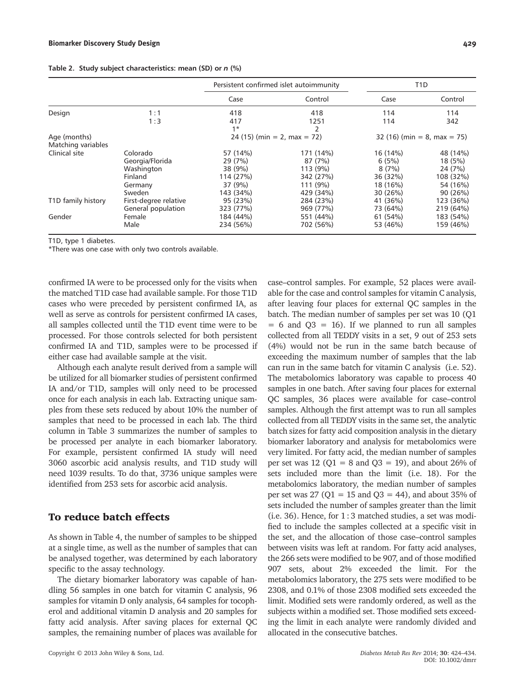|  |  |  | Table 2. Study subject characteristics: mean (SD) or n (%) |  |  |  |  |
|--|--|--|------------------------------------------------------------|--|--|--|--|
|--|--|--|------------------------------------------------------------|--|--|--|--|

|                                    |                       |             | Persistent confirmed islet autoimmunity |          | T <sub>1</sub> D             |
|------------------------------------|-----------------------|-------------|-----------------------------------------|----------|------------------------------|
|                                    |                       | Case        | Control                                 | Case     | Control                      |
| Design                             | 1:1                   | 418         | 418                                     | 114      | 114                          |
|                                    | 1:3                   | 417<br>$1*$ | 1251                                    | 114      | 342                          |
| Age (months)<br>Matching variables |                       |             | $24(15)$ (min = 2, max = 72)            |          | $32(16)$ (min = 8, max = 75) |
| Clinical site                      | Colorado              | 57 (14%)    | 171 (14%)                               | 16 (14%) | 48 (14%)                     |
|                                    | Georgia/Florida       | 29 (7%)     | 87 (7%)                                 | 6(5%)    | 18 (5%)                      |
|                                    | Washington            | 38 (9%)     | 113 (9%)                                | 8(7%)    | 24 (7%)                      |
|                                    | Finland               | 114 (27%)   | 342 (27%)                               | 36 (32%) | 108 (32%)                    |
|                                    | Germany               | 37 (9%)     | 111 (9%)                                | 18 (16%) | 54 (16%)                     |
|                                    | Sweden                | 143 (34%)   | 429 (34%)                               | 30 (26%) | 90 (26%)                     |
| T1D family history                 | First-degree relative | 95 (23%)    | 284 (23%)                               | 41 (36%) | 123 (36%)                    |
|                                    | General population    | 323 (77%)   | 969 (77%)                               | 73 (64%) | 219 (64%)                    |
| Gender                             | Female                | 184 (44%)   | 551 (44%)                               | 61 (54%) | 183 (54%)                    |
|                                    | Male                  | 234 (56%)   | 702 (56%)                               | 53 (46%) | 159 (46%)                    |

T1D, type 1 diabetes.

\*There was one case with only two controls available.

confirmed IA were to be processed only for the visits when the matched T1D case had available sample. For those T1D cases who were preceded by persistent confirmed IA, as well as serve as controls for persistent confirmed IA cases, all samples collected until the T1D event time were to be processed. For those controls selected for both persistent confirmed IA and T1D, samples were to be processed if either case had available sample at the visit.

Although each analyte result derived from a sample will be utilized for all biomarker studies of persistent confirmed IA and/or T1D, samples will only need to be processed once for each analysis in each lab. Extracting unique samples from these sets reduced by about 10% the number of samples that need to be processed in each lab. The third column in Table 3 summarizes the number of samples to be processed per analyte in each biomarker laboratory. For example, persistent confirmed IA study will need 3060 ascorbic acid analysis results, and T1D study will need 1039 results. To do that, 3736 unique samples were identified from 253 sets for ascorbic acid analysis.

#### To reduce batch effects

As shown in Table 4, the number of samples to be shipped at a single time, as well as the number of samples that can be analysed together, was determined by each laboratory specific to the assay technology.

The dietary biomarker laboratory was capable of handling 56 samples in one batch for vitamin C analysis, 96 samples for vitamin D only analysis, 64 samples for tocopherol and additional vitamin D analysis and 20 samples for fatty acid analysis. After saving places for external QC samples, the remaining number of places was available for

Copyright © 2013 John Wiley & Sons, Ltd.  $Di$  and  $Di$  and  $Di$  and  $Di$  and  $Di$  and  $Di$  and  $Di$  and  $Di$  and  $Di$  and  $Di$  and  $Di$  and  $Di$  and  $Di$  and  $Di$  and  $Di$  and  $Di$  and  $Di$  and  $Di$  and  $Di$  and  $Di$  and

case–control samples. For example, 52 places were available for the case and control samples for vitamin C analysis, after leaving four places for external QC samples in the batch. The median number of samples per set was 10 (Q1  $= 6$  and  $Q3 = 16$ ). If we planned to run all samples collected from all TEDDY visits in a set, 9 out of 253 sets (4%) would not be run in the same batch because of exceeding the maximum number of samples that the lab can run in the same batch for vitamin C analysis (i.e. 52). The metabolomics laboratory was capable to process 40 samples in one batch. After saving four places for external QC samples, 36 places were available for case–control samples. Although the first attempt was to run all samples collected from all TEDDY visits in the same set, the analytic batch sizes for fatty acid composition analysis in the dietary biomarker laboratory and analysis for metabolomics were very limited. For fatty acid, the median number of samples per set was 12 ( $Q1 = 8$  and  $Q3 = 19$ ), and about 26% of sets included more than the limit (i.e. 18). For the metabolomics laboratory, the median number of samples per set was 27 ( $Q1 = 15$  and  $Q3 = 44$ ), and about 35% of sets included the number of samples greater than the limit (i.e. 36). Hence, for 1 : 3 matched studies, a set was modified to include the samples collected at a specific visit in the set, and the allocation of those case–control samples between visits was left at random. For fatty acid analyses, the 266 sets were modified to be 907, and of those modified 907 sets, about 2% exceeded the limit. For the metabolomics laboratory, the 275 sets were modified to be 2308, and 0.1% of those 2308 modified sets exceeded the limit. Modified sets were randomly ordered, as well as the subjects within a modified set. Those modified sets exceeding the limit in each analyte were randomly divided and allocated in the consecutive batches.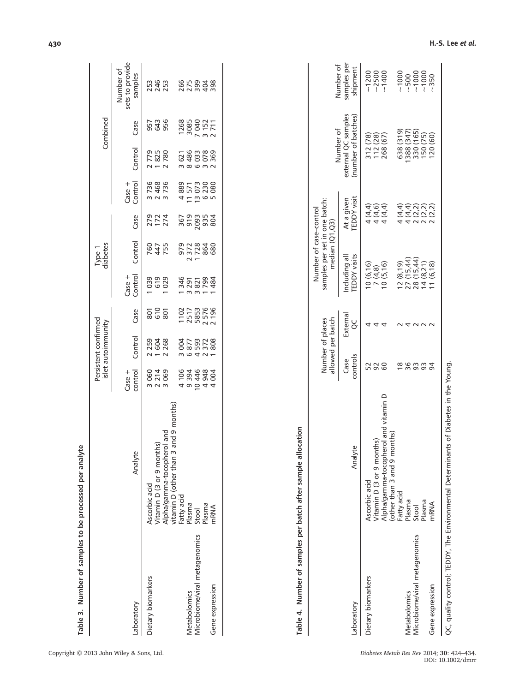|                               |                                                                             |                             | Persistent confirmed<br>islet autoimmunity |                              |                                 | Type 1<br>diabetes |                    |                                      |                                | Combined                         |                                         |
|-------------------------------|-----------------------------------------------------------------------------|-----------------------------|--------------------------------------------|------------------------------|---------------------------------|--------------------|--------------------|--------------------------------------|--------------------------------|----------------------------------|-----------------------------------------|
| Appratory                     | Analyte                                                                     | $Case +$                    | Control                                    | Case                         | Case +<br>Control               | Control            | Case               | Case +<br>Control                    | Control                        | Case                             | sets to provide<br>Number of<br>samples |
| Dietary biomarkers            | Ascorbic acid<br>Vitamin D (3 or 9 months)                                  | 3060<br>2214<br>3069        | 216<br>2008<br>2008                        | ន្លូង<br>និង                 | 0<br>0<br>0<br>0<br>0<br>0<br>0 | 245<br>255         | 272<br>1724<br>274 | 3736<br>2468<br>3736                 | 21850<br>2825<br>2021          | 5 4 5<br>5 4 5<br>9 5 6          | 253<br>2453<br>253                      |
|                               | 3 and 9 months)<br>nerol and<br>Alpha/gamma-tocoph<br>vitamin D (other than |                             |                                            |                              |                                 |                    |                    |                                      |                                |                                  |                                         |
|                               | Fatty acid<br>Plasma                                                        | 4 106                       |                                            |                              |                                 |                    |                    |                                      |                                |                                  |                                         |
| <b>Metabolomics</b>           |                                                                             | 394                         | 3 004<br>5 8 7 7                           |                              |                                 |                    |                    |                                      |                                |                                  |                                         |
| Aicrobiome/viral metagenomics | Stool                                                                       |                             |                                            |                              |                                 |                    |                    |                                      |                                |                                  |                                         |
|                               | Plasma                                                                      | 0 4 4<br>4 9 9 9<br>6 9 9 9 | 1593<br>272<br>21808                       | 1102<br>2517<br>58576<br>196 | 34011002<br>0021004<br>0021024  | 97288<br>27288     |                    | 4 L u e u<br>882 L U 88<br>4 L u e v | 71<br>636780<br>6400M<br>6400M | 1268<br>3085<br>120711<br>120711 | 650048<br>650048<br>65004               |
| Gene expression               | mRNA                                                                        |                             |                                            |                              |                                 |                    |                    |                                      |                                |                                  |                                         |
|                               |                                                                             |                             |                                            |                              |                                 |                    |                    |                                      |                                |                                  |                                         |

| batch after sample alloca |  |
|---------------------------|--|
|                           |  |
|                           |  |
|                           |  |
| nber of samples per bat   |  |
|                           |  |
| $\ddot{\phantom{a}}$      |  |
| エリラ                       |  |

|                               |                                                                                      | allowed per batch<br>Number of places |               | samples per set in one batch:<br>Number of case-control<br>median (Q1,Q3) |                                                  | Number of                                  | Number of               |
|-------------------------------|--------------------------------------------------------------------------------------|---------------------------------------|---------------|---------------------------------------------------------------------------|--------------------------------------------------|--------------------------------------------|-------------------------|
| Laboratory                    | Analyte                                                                              | controls<br>Case                      | External<br>ŏ | <b>TEDDY</b> visits<br>Including all                                      | <b>TEDDY</b> visit<br>At a given                 | external QC samples<br>(number of batches) | samples per<br>shipment |
| Dietary biomarkers            | Ascorbic acid                                                                        |                                       |               | 10(6, 16)                                                                 |                                                  |                                            | $-1200$                 |
|                               | /itamin D (3 or 9 months)                                                            |                                       |               | 7(4,8)                                                                    | 4<br>पेट्रे<br>मेट्रे                            | 312 (78)<br>112 (28)                       | $-2500$                 |
|                               | Alpha/gamma-tocopherol and vitamin D<br>months)<br>(other than 3 and 9               |                                       |               | 10(5,16)                                                                  |                                                  | 268 (67)                                   | $-1400$                 |
|                               | Fatty acid                                                                           | ≌                                     |               | 12(8,19)                                                                  |                                                  | 638 (319)                                  |                         |
| Metabolomics                  | asma                                                                                 |                                       |               | 27 (15,44)                                                                |                                                  | 388 (347)                                  |                         |
| Microbiome/viral metagenomics | Stool                                                                                | 3                                     |               | 28 (15,44)                                                                | d d d d d<br>4 d d d d<br>4 d d d d<br>4 d d d d | 330 (165)                                  |                         |
|                               | asma                                                                                 |                                       |               | 14(8,21)                                                                  |                                                  | 150 (75)                                   |                         |
| Gene expression               | nRNA                                                                                 |                                       |               | 1(6, 18)                                                                  |                                                  | 20(60)                                     | $-350$                  |
|                               | QC, quality control; TEDDY, The Environmental Determinants of Diabetes in the Young. |                                       |               |                                                                           |                                                  |                                            |                         |

Table 3. Number of samples to be processed per analyte

Table 3. Number of samples to be processed per analyte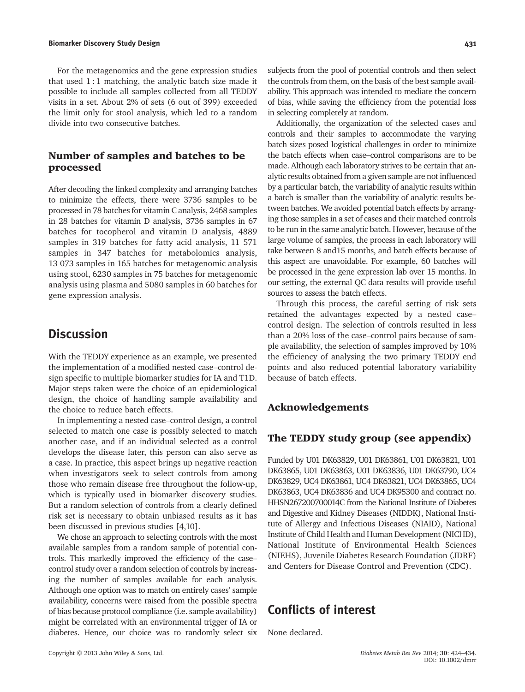#### Biomarker Discovery Study Design 1988 and 2008 and 2008 and 2008 and 2008 and 2008 and 2008 and 2008 and 2008 and 2008 and 2008 and 2008 and 2008 and 2008 and 2008 and 2008 and 2008 and 2008 and 2008 and 2008 and 2008 and

For the metagenomics and the gene expression studies that used  $1:1$  matching, the analytic batch size made it possible to include all samples collected from all TEDDY visits in a set. About 2% of sets (6 out of 399) exceeded the limit only for stool analysis, which led to a random divide into two consecutive batches.

### Number of samples and batches to be processed

After decoding the linked complexity and arranging batches to minimize the effects, there were 3736 samples to be processed in 78 batches for vitamin C analysis, 2468 samples in 28 batches for vitamin D analysis, 3736 samples in 67 batches for tocopherol and vitamin D analysis, 4889 samples in 319 batches for fatty acid analysis, 11 571 samples in 347 batches for metabolomics analysis, 13 073 samples in 165 batches for metagenomic analysis using stool, 6230 samples in 75 batches for metagenomic analysis using plasma and 5080 samples in 60 batches for gene expression analysis.

# **Discussion**

With the TEDDY experience as an example, we presented the implementation of a modified nested case–control design specific to multiple biomarker studies for IA and T1D. Major steps taken were the choice of an epidemiological design, the choice of handling sample availability and the choice to reduce batch effects.

In implementing a nested case–control design, a control selected to match one case is possibly selected to match another case, and if an individual selected as a control develops the disease later, this person can also serve as a case. In practice, this aspect brings up negative reaction when investigators seek to select controls from among those who remain disease free throughout the follow-up, which is typically used in biomarker discovery studies. But a random selection of controls from a clearly defined risk set is necessary to obtain unbiased results as it has been discussed in previous studies [4,10].

We chose an approach to selecting controls with the most available samples from a random sample of potential controls. This markedly improved the efficiency of the case– control study over a random selection of controls by increasing the number of samples available for each analysis. Although one option was to match on entirely cases' sample availability, concerns were raised from the possible spectra of bias because protocol compliance (i.e. sample availability) might be correlated with an environmental trigger of IA or diabetes. Hence, our choice was to randomly select six

subjects from the pool of potential controls and then select the controls from them, on the basis of the best sample availability. This approach was intended to mediate the concern of bias, while saving the efficiency from the potential loss in selecting completely at random.

Additionally, the organization of the selected cases and controls and their samples to accommodate the varying batch sizes posed logistical challenges in order to minimize the batch effects when case–control comparisons are to be made. Although each laboratory strives to be certain that analytic results obtained from a given sample are not influenced by a particular batch, the variability of analytic results within a batch is smaller than the variability of analytic results between batches. We avoided potential batch effects by arranging those samples in a set of cases and their matched controls to be run in the same analytic batch. However, because of the large volume of samples, the process in each laboratory will take between 8 and15 months, and batch effects because of this aspect are unavoidable. For example, 60 batches will be processed in the gene expression lab over 15 months. In our setting, the external QC data results will provide useful sources to assess the batch effects.

Through this process, the careful setting of risk sets retained the advantages expected by a nested case– control design. The selection of controls resulted in less than a 20% loss of the case–control pairs because of sample availability, the selection of samples improved by 10% the efficiency of analysing the two primary TEDDY end points and also reduced potential laboratory variability because of batch effects.

### Acknowledgements

### The TEDDY study group (see appendix)

Funded by U01 DK63829, U01 DK63861, U01 DK63821, U01 DK63865, U01 DK63863, U01 DK63836, U01 DK63790, UC4 DK63829, UC4 DK63861, UC4 DK63821, UC4 DK63865, UC4 DK63863, UC4 DK63836 and UC4 DK95300 and contract no. HHSN267200700014C from the National Institute of Diabetes and Digestive and Kidney Diseases (NIDDK), National Institute of Allergy and Infectious Diseases (NIAID), National Institute of Child Health and Human Development (NICHD), National Institute of Environmental Health Sciences (NIEHS), Juvenile Diabetes Research Foundation (JDRF) and Centers for Disease Control and Prevention (CDC).

# Conflicts of interest

None declared.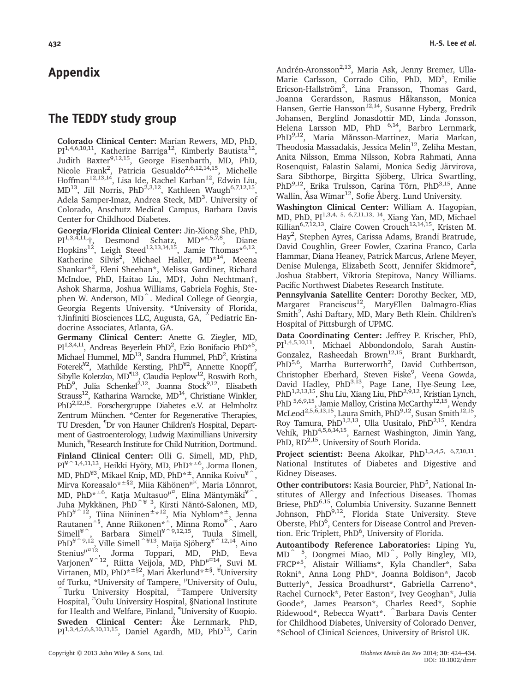# Appendix

# The TEDDY study group

Colorado Clinical Center: Marian Rewers, MD, PhD,  $PI^{1,4,6,10,11}$ , Katherine Barriga<sup>12</sup>, Kimberly Bautista<sup>12</sup>, Judith Baxter<sup>9,12,15</sup>, George Eisenbarth, MD, PhD, Nicole Frank<sup>2</sup>, Patricia Gesualdo<sup>2,6,12,14,15</sup>, Michelle Hoffman $^{12,13,14}$ , Lisa Ide, Rachel Karban $^{12}$ , Edwin Liu, MD<sup>13</sup>, Jill Norris, PhD<sup>2,3,12</sup>, Kathleen Waugh<sup>6,7,12,15</sup>, Adela Samper-Imaz, Andrea Steck, MD<sup>3</sup>. University of Colorado, Anschutz Medical Campus, Barbara Davis Center for Childhood Diabetes.

Georgia/Florida Clinical Center: Jin-Xiong She, PhD, PI<sup>1,3,4,11</sup>, Desmond Schatz, MD<sup>\*4,5,7,8</sup>, Diane Hopkins<sup>12</sup>, Leigh Steed<sup>12,13,14,15</sup>, Jamie Thomas\*<sup>6,12</sup>, Katherine Silvis<sup>2</sup>, Michael Haller, MD<sup>\*14</sup>, Meena Shankar\*<sup>2</sup> , Eleni Sheehan\*, Melissa Gardiner, Richard McIndoe, PhD, Haitao Liu, MD†, John Nechtman†, Ashok Sharma, Joshua Williams, Gabriela Foghis, Stephen W. Anderson, MD<sup>^</sup>. Medical College of Georgia, Georgia Regents University. \*University of Florida, †Jinfiniti Biosciences LLC, Augusta, GA, ^Pediatric Endocrine Associates, Atlanta, GA.

Germany Clinical Center: Anette G. Ziegler, MD, PI<sup>1,3,4,11</sup>, Andreas Beyerlein PhD<sup>2</sup>, Ezio Bonifacio PhD<sup>\*5</sup>, Michael Hummel, MD<sup>13</sup>, Sandra Hummel, PhD<sup>2</sup>, Kristina Foterek<sup>¥2</sup>, Mathilde Kersting, PhD<sup>¥2</sup>, Annette Knopff<sup>7</sup>, Sibylle Koletzko, MD<sup>¶13</sup>, Claudia Peplow<sup>12</sup>, Roswith Roth, PhD<sup>9</sup>, Julia Schenkel<sup>2,12</sup>, Joanna Stock<sup>9,12</sup>, Elisabeth Strauss<sup>12</sup>, Katharina Warncke, MD<sup>14</sup>, Christiane Winkler, PhD<sup>2,12,15</sup>. Forschergruppe Diabetes e.V. at Helmholtz Zentrum München. \*Center for Regenerative Therapies, TU Dresden, ¶ Dr von Hauner Children's Hospital, Department of Gastroenterology, Ludwig Maximillians University Munich, ¥ Research Institute for Child Nutrition, Dortmund. Finland Clinical Center: Olli G. Simell, MD, PhD, PI<sup>¥^1,4,11,13</sup>, Heikki Hyöty, MD, PhD<sup>\*±6</sup>, Jorma Ilonen, MD, PhD $^{43}$ , Mikael Knip, MD, PhD $^{\star\pm}$ , Annika Koivu $^{\text{\texttt{\tiny $4$}}^{\text{\tiny \top}}},$ Mirva Koreasalo\*<sup>±§2</sup>, Miia Kähönen<sup>µ¤</sup>, Maria Lönnrot, MD, PhD $^{\star \pm 6}$ , Katja Multasuo $^{\mu \times}$ , Elina Mäntymäki $^{\text{\tiny H}}$  , Juha Mykkänen, PhD^¥ 3, Kirsti Näntö-Salonen, MD,  $\mathrm{PhD}^{\mathcal{H}^{\frown}1\bar{2}},$  Tiina Niininen $^{\pm\,\star\,12},$  Mia Nyblom $^{\star\,\pm},$  Jenna Rautanen±§, Anne Riikonen\*±, Minna Romo¥^, Aaro Simell<sup>¥</sup>^, Barbara Simell<sup>¥^9,12,15</sup>, Tuula Simell,  $PhD<sup>{4^{\sim}9,12}</sup>$ , Ville Simell $\hat{ }$ <sup>¥13</sup>, Maija Sjöberg<sup>¥ $^{\sim}$ 12,14, Aino</sup> Stenius<sup>µ¤12</sup>, Jorma Toppari, MD, PhD, Eeva Varjonen¥^12, Riitta Veijola, MD, PhDμ¤14, Suvi M. Virtanen, MD, PhD\*±§2, Mari Åkerlund\*±§. ¥ University of Turku, \*University of Tampere, <sup>μ</sup>University of Oulu, Turku University Hospital, <sup>±</sup>Tampere University Hospital, ¤ Oulu University Hospital, §National Institute for Health and Welfare, Finland, ¶ University of Kuopio. Sweden Clinical Center: Åke Lernmark, PhD, PI<sup>1,3,4,5,6,8,10,11,15</sup>, Daniel Agardh, MD, PhD<sup>13</sup>, Carin

Andrén-Aronsson<sup>2,13</sup>, Maria Ask, Jenny Bremer, Ulla-Marie Carlsson, Corrado Cilio, PhD, MD<sup>5</sup>, Emilie Ericson-Hallström<sup>2</sup>, Lina Fransson, Thomas Gard, Joanna Gerardsson, Rasmus Håkansson, Monica Hansen, Gertie Hansson<sup>12,14</sup>, Susanne Hyberg, Fredrik Johansen, Berglind Jonasdottir MD, Linda Jonsson, Helena Larsson MD, PhD  $^{6,14}$ , Barbro Lernmark, PhD<sup>9,12</sup>, Maria Månsson-Martinez, Maria Markan, Theodosia Massadakis, Jessica Melin12, Zeliha Mestan, Anita Nilsson, Emma Nilsson, Kobra Rahmati, Anna Rosenquist, Falastin Salami, Monica Sedig Järvirova, Sara Sibthorpe, Birgitta Sjöberg, Ulrica Swartling, PhD<sup>9,12</sup>, Erika Trulsson, Carina Törn, PhD<sup>3,15</sup>, Anne Wallin, Åsa Wimar<sup>12</sup>, Sofie Åberg. Lund University.

Washington Clinical Center: William A. Hagopian, MD, PhD, PI1,3,4, 5, 6,7,11,13, 14, Xiang Yan, MD, Michael Killian<sup>6,7,12,13</sup>, Claire Cowen Crouch<sup>12,14,15</sup>, Kristen M. Hay<sup>2</sup>, Stephen Ayres, Carissa Adams, Brandi Bratrude, David Coughlin, Greer Fowler, Czarina Franco, Carla Hammar, Diana Heaney, Patrick Marcus, Arlene Meyer, Denise Mulenga, Elizabeth Scott, Jennifer Skidmore<sup>2</sup>, Joshua Stabbert, Viktoria Stepitova, Nancy Williams. Pacific Northwest Diabetes Research Institute.

Pennsylvania Satellite Center: Dorothy Becker, MD, Margaret Franciscus<sup>12</sup>, MaryEllen Dalmagro-Elias Smith<sup>2</sup>, Ashi Daftary, MD, Mary Beth Klein. Children's Hospital of Pittsburgh of UPMC.

Data Coordinating Center: Jeffrey P. Krischer, PhD, PI1,4,5,10,11, Michael Abbondondolo, Sarah Austin-Gonzalez, Rasheedah Brown<sup>12,15</sup>, Brant Burkhardt, PhD<sup>5,6</sup>, Martha Butterworth<sup>2</sup>, David Cuthbertson, Christopher Eberhard, Steven Fiske<sup>9</sup>, Veena Gowda, David Hadley, PhD<sup>3,13</sup>, Page Lane, Hye-Seung Lee, PhD<sup>1,2,13,15</sup>, Shu Liu, Xiang Liu, PhD<sup>2,9,12</sup>, Kristian Lynch, PhD <sup>5,6,9,15</sup>, Jamie Malloy, Cristina McCarthy<sup>12,15</sup>, Wendy McLeod<sup>2,5,6,13,15</sup>, Laura Smith, PhD<sup>9,12</sup>, Susan Smith<sup>12,15</sup>, Roy Tamura, PhD<sup>1,2,13</sup>, Ulla Uusitalo, PhD<sup>2,15</sup>, Kendra Vehik, PhD4,5,6,14,15, Earnest Washington, Jimin Yang, PhD, RD<sup>2,15</sup>. University of South Florida.

Project scientist: Beena Akolkar, PhD<sup>1,3,4,5, 6,7,10,11</sup>. National Institutes of Diabetes and Digestive and Kidney Diseases.

Other contributors: Kasia Bourcier, PhD<sup>5</sup>, National Institutes of Allergy and Infectious Diseases. Thomas Briese, PhD<sup>6,15</sup>, Columbia University. Suzanne Bennett Johnson, PhD<sup>9,12</sup>, Florida State University. Steve Oberste, PhD<sup>6</sup>, Centers for Disease Control and Prevention. Eric Triplett, PhD<sup>6</sup>, University of Florida.

Autoantibody Reference Laboratories: Liping Yu, MD^ 5, Dongmei Miao, MD^, Polly Bingley, MD, FRCP\*5 , Alistair Williams\*, Kyla Chandler\*, Saba Rokni\*, Anna Long PhD\*, Joanna Boldison\*, Jacob Butterly\*, Jessica Broadhurst\*, Gabriella Carreno\*, Rachel Curnock\*, Peter Easton\*, Ivey Geoghan\*, Julia Goode\*, James Pearson\*, Charles Reed\*, Sophie Ridewood\*, Rebecca Wyatt\*. ^Barbara Davis Center for Childhood Diabetes, University of Colorado Denver, \*School of Clinical Sciences, University of Bristol UK.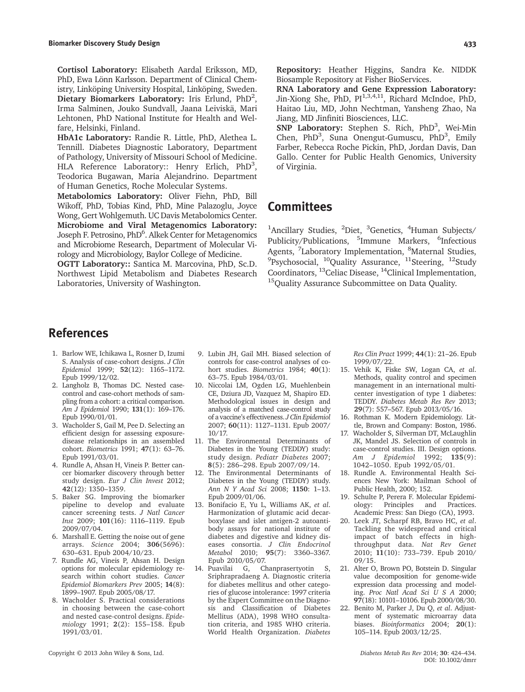Cortisol Laboratory: Elisabeth Aardal Eriksson, MD, PhD, Ewa Lönn Karlsson. Department of Clinical Chemistry, Linköping University Hospital, Linköping, Sweden. Dietary Biomarkers Laboratory: Iris Erlund, PhD<sup>2</sup>, Irma Salminen, Jouko Sundvall, Jaana Leiviskä, Mari Lehtonen, PhD National Institute for Health and Welfare, Helsinki, Finland.

HbA1c Laboratory: Randie R. Little, PhD, Alethea L. Tennill. Diabetes Diagnostic Laboratory, Department of Pathology, University of Missouri School of Medicine. HLA Reference Laboratory:: Henry Erlich, PhD<sup>3</sup>, Teodorica Bugawan, Maria Alejandrino. Department of Human Genetics, Roche Molecular Systems.

Metabolomics Laboratory: Oliver Fiehn, PhD, Bill Wikoff, PhD, Tobias Kind, PhD, Mine Palazoglu, Joyce Wong, Gert Wohlgemuth. UC Davis Metabolomics Center. Microbiome and Viral Metagenomics Laboratory: Joseph F. Petrosino, PhD<sup>6</sup>. Alkek Center for Metagenomics and Microbiome Research, Department of Molecular Virology and Microbiology, Baylor College of Medicine.

OGTT Laboratory:: Santica M. Marcovina, PhD, Sc.D. Northwest Lipid Metabolism and Diabetes Research Laboratories, University of Washington.

Repository: Heather Higgins, Sandra Ke. NIDDK Biosample Repository at Fisher BioServices.

RNA Laboratory and Gene Expression Laboratory: Jin-Xiong She, PhD,  $PI^{1,3,4,11}$ , Richard McIndoe, PhD, Haitao Liu, MD, John Nechtman, Yansheng Zhao, Na Jiang, MD Jinfiniti Biosciences, LLC.

SNP Laboratory: Stephen S. Rich, PhD<sup>3</sup>, Wei-Min Chen, PhD<sup>3</sup>, Suna Onengut-Gumuscu, PhD<sup>3</sup>, Emily Farber, Rebecca Roche Pickin, PhD, Jordan Davis, Dan Gallo. Center for Public Health Genomics, University of Virginia.

# **Committees**

<sup>1</sup>Ancillary Studies, <sup>2</sup>Diet, <sup>3</sup>Genetics, <sup>4</sup>Human Subjects/ Publicity/Publications, <sup>5</sup>Immune Markers, <sup>6</sup>Infectious Agents, <sup>7</sup>Laboratory Implementation, <sup>8</sup>Maternal Studies, <sup>9</sup>Psychosocial, <sup>10</sup>Quality Assurance, <sup>11</sup>Steering, <sup>12</sup>Study Coordinators, 13Celiac Disease, 14Clinical Implementation, <sup>15</sup>Quality Assurance Subcommittee on Data Quality.

# References

- 1. Barlow WE, Ichikawa L, Rosner D, Izumi S. Analysis of case-cohort designs. J Clin Epidemiol 1999; 52(12): 1165–1172. Epub 1999/12/02.
- 2. Langholz B, Thomas DC. Nested casecontrol and case-cohort methods of sampling from a cohort: a critical comparison. Am J Epidemiol 1990; 131(1): 169–176. Epub 1990/01/01.
- 3. Wacholder S, Gail M, Pee D. Selecting an efficient design for assessing exposuredisease relationships in an assembled cohort. Biometrics 1991; 47(1): 63–76. Epub 1991/03/01.
- 4. Rundle A, Ahsan H, Vineis P. Better cancer biomarker discovery through better study design. Eur J Clin Invest 2012; 42(12): 1350–1359.
- 5. Baker SG. Improving the biomarker pipeline to develop and evaluate cancer screening tests. J Natl Cancer Inst 2009; 101(16): 1116–1119. Epub 2009/07/04.
- 6. Marshall E. Getting the noise out of gene arrays. Science 2004; 306(5696): 630–631. Epub 2004/10/23.
- 7. Rundle AG, Vineis P, Ahsan H. Design options for molecular epidemiology research within cohort studies. Cancer Epidemiol Biomarkers Prev 2005; 14(8): 1899–1907. Epub 2005/08/17.
- 8. Wacholder S. Practical considerations in choosing between the case-cohort and nested case-control designs. Epidemiology 1991; 2(2): 155–158. Epub 1991/03/01.
- 9. Lubin JH, Gail MH. Biased selection of controls for case-control analyses of cohort studies. Biometrics 1984; 40(1): 63–75. Epub 1984/03/01.
- 10. Niccolai LM, Ogden LG, Muehlenbein CE, Dziura JD, Vazquez M, Shapiro ED. Methodological issues in design and analysis of a matched case-control study of a vaccine's effectiveness. J Clin Epidemiol 2007; 60(11): 1127–1131. Epub 2007/ 10/17.
- 11. The Environmental Determinants of Diabetes in the Young (TEDDY) study: study design. Pediatr Diabetes 2007; 8(5): 286–298. Epub 2007/09/14.
- 12. The Environmental Determinants of Diabetes in the Young (TEDDY) study. Ann N Y Acad Sci 2008; 1150: 1–13. Epub 2009/01/06.
- 13. Bonifacio E, Yu L, Williams AK, et al. Harmonization of glutamic acid decarboxylase and islet antigen-2 autoantibody assays for national institute of diabetes and digestive and kidney diseases consortia. J Clin Endocrinol Metabol 2010; 95(7): 3360–3367. Epub 2010/05/07.
- 14. Puavilai G, Chanprasertyotin S, Sriphrapradaeng A. Diagnostic criteria for diabetes mellitus and other categories of glucose intolerance: 1997 criteria by the Expert Committee on the Diagnosis and Classification of Diabetes Mellitus (ADA), 1998 WHO consultation criteria, and 1985 WHO criteria. World Health Organization. Diabetes

Res Clin Pract 1999; 44(1): 21–26. Epub 1999/07/22.

- 15. Vehik K, Fiske SW, Logan CA, et al. Methods, quality control and specimen management in an international multicenter investigation of type 1 diabetes: TEDDY. Diabetes Metab Res Rev 2013; 29(7): 557–567. Epub 2013/05/16.
- 16. Rothman K. Modern Epidemiology. Little, Brown and Company: Boston, 1986.
- 17. Wacholder S, Silverman DT, McLaughlin JK, Mandel JS. Selection of controls in case-control studies. III. Design options. Am *J* Epidemiol 1992; 135(9): 1042–1050. Epub 1992/05/01.
- 18. Rundle A. Environmental Health Sciences New York: Mailman School of Public Health, 2000; 152.
- 19. Schulte P, Perera F. Molecular Epidemi-<br>ology: Principles and Practices. ology: Principles Academic Press: San Diego (CA), 1993.
- 20. Leek JT, Scharpf RB, Bravo HC, et al. Tackling the widespread and critical impact of batch effects in highthroughput data. Nat Rev Genet 2010; 11(10): 733–739. Epub 2010/ 09/15.
- 21. Alter O, Brown PO, Botstein D. Singular value decomposition for genome-wide expression data processing and modeling. Proc Natl Acad Sci U S A 2000; 97(18): 10101–10106. Epub 2000/08/30.
- 22. Benito M, Parker J, Du Q, et al. Adjustment of systematic microarray data biases. Bioinformatics 2004; 20(1): 105–114. Epub 2003/12/25.